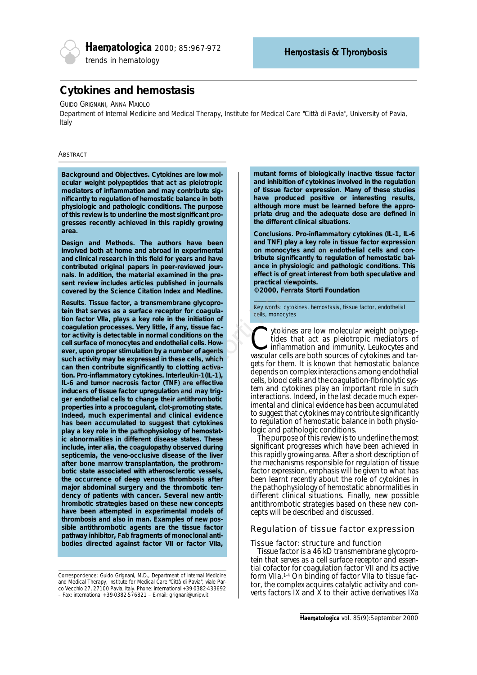

# **Cytokines and hemostasis**

### GUIDO GRIGNANI, ANNA MAIOLO

*Department of Internal Medicine and Medical Therapy, Institute for Medical Care "Città di Pavia", University of Pavia, Italy*

### **ABSTRACT**

*Background and Objectives***. Cytokines are low molecular weight polypeptides that act as pleiotropic mediators of inflammation and may contribute significantly to regulation of hemostatic balance in both physiologic and pathologic conditions. The purpose of this review is to underline the most significant progresses recently achieved in this rapidly growing area.**

*Design and Methods.* **The authors have been involved both at home and abroad in experimental and clinical research in this field for years and have contributed original papers in peer-reviewed journals. In addition, the material examined in the present review includes articles published in journals covered by the Science Citation Index and Medline.**

*Results.* **Tissue factor, a transmembrane glycoprotein that serves as a surface receptor for coagulation factor VIIa, plays a key role in the initiation of coagulation processes. Very little, if any, tissue factor activity is detectable in normal conditions on the cell surface of monocytes and endothelial cells. However, upon proper stimulation by a number of agents such activity may be expressed in these cells, which can then contribute significantly to clotting activation. Pro-inflammatory cytokines. Interleukin-1(IL-1), IL-6 and tumor necrosis factor (TNF) are effective inducers of tissue factor upregulation and may trigger endothelial cells to change their antithrombotic properties into a procoagulant, clot-promoting state. Indeed, much experimental and clinical evidence has been accumulated to suggest that cytokines play a key role in the pathophysiology of hemostatic abnormalities in different disease states. These include,** *inter alia***, the coagulopathy observed during septicemia, the veno-occlusive disease of the liver after bone marrow transplantation, the prothrombotic state associated with atherosclerotic vessels, the occurrence of deep venous thrombosis after major abdominal surgery and the thrombotic tendency of patients with cancer. Several new antithrombotic strategies based on these new concepts have been attempted in experimental models of thrombosis and also in man. Examples of new possible antithrombotic agents are the tissue factor pathway inhibitor, Fab fragments of monoclonal antibodies directed against factor VII or factor VIIa,** Conclusions. Pro-inflammatory<br>
men and a read a read and TNF) play a key role in tiss<br>
men and a bracad in experimental<br>
in in this field for gears and have<br>
a atheored jour-<br>
a authore material examined in the pre-<br>
ender

*Correspondence: Guido Grignani, M.D., Department of Internal Medicine and Medical Therapy, Institute for Medical Care "Città di Pavia", viale Parco Vecchio 27, 27100 Pavia, Italy. Phone: international +39-0382-433692 – Fax: international +39-0382-576821 – E-mail: grignani@unipv.it*

**mutant forms of biologically inactive tissue factor and inhibition of cytokines involved in the regulation of tissue factor expression. Many of these studies have produced positive or interesting results, although more must be learned before the appropriate drug and the adequate dose are defined in the different clinical situations.**

*Conclusions***. Pro-inflammatory cytokines (IL-1, IL-6 and TNF) play a key role in tissue factor expression on monocytes and on endothelial cells and contribute significantly to regulation of hemostatic balance in physiologic and pathologic conditions. This effect is of great interest from both speculative and practical viewpoints.** 

**©2000, Ferrata Storti Foundation**

Key words: cytokines, hemostasis, tissue factor, endothelial cells, monocytes

Cytokines are low molecular weight polypeptides that act as pleiotropic mediators of inflammation and immunity. Leukocytes and tar-<br>vascular cells are both sources of cytokines and tartides that act as pleiotropic mediators of inflammation and immunity. Leukocytes and gets for them. It is known that hemostatic balance depends on complex interactions among endothelial cells, blood cells and the coagulation-fibrinolytic system and cytokines play an important role in such interactions. Indeed, in the last decade much experimental and clinical evidence has been accumulated to suggest that cytokines may contribute significantly to regulation of hemostatic balance in both physiologic and pathologic conditions.

The purpose of this review is to underline the most significant progresses which have been achieved in this rapidly growing area. After a short description of the mechanisms responsible for regulation of tissue factor expression, emphasis will be given to what has been learnt recently about the role of cytokines in the pathophysiology of hemostatic abnormalities in different clinical situations. Finally, new possible antithrombotic strategies based on these new concepts will be described and discussed.

# Regulation of tissue factor expression

# *Tissue factor: structure and function*

Tissue factor is a 46 kD transmembrane glycoprotein that serves as a cell surface receptor and essential cofactor for coagulation factor VII and its active form VIIa.1-4 On binding of factor VIIa to tissue factor, the complex acquires catalytic activity and converts factors IX and X to their active derivatives IXa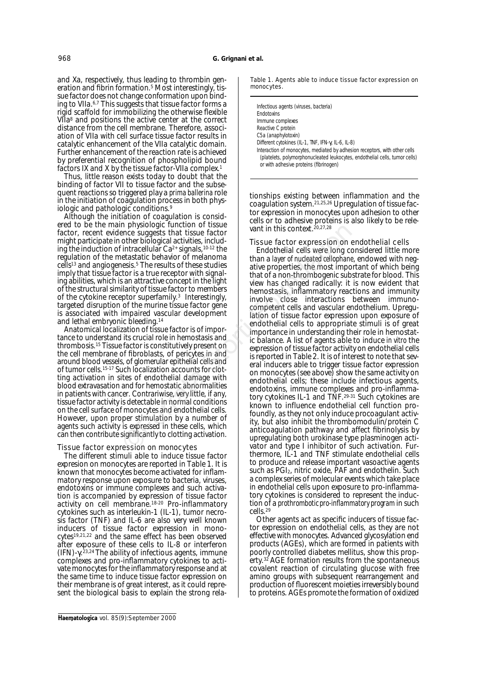and Xa, respectively, thus leading to thrombin generation and fibrin formation.<sup>5</sup> Most interestingly, tissue factor does not change conformation upon binding to VIIa.<sup>6,7</sup> This suggests that tissue factor forms a rigid scaffold for immobilizing the otherwise flexible VIIa<sup>8</sup> and positions the active center at the correct distance from the cell membrane. Therefore, association of VIIa with cell surface tissue factor results in catalytic enhancement of the VIIa catalytic domain. Further enhancement of the reaction rate is achieved by preferential recognition of phospholipid bound factors IX and X by the tissue factor-VIIa complex.1

Thus, little reason exists today to doubt that the binding of factor VII to tissue factor and the subsequent reactions so triggered play a *prima ballerina* role in the initiation of coagulation process in both physiologic and pathologic conditions.9

Although the initiation of coagulation is considered to be the main physiologic function of tissue factor, recent evidence suggests that tissue factor might participate in other biological activities, including the induction of intracellular  $Ca^{2+}$  signals,  $10-12$  the regulation of the metastatic behavior of melanoma cells13 and angiogenesis.5 The results of these studies imply that tissue factor is a true receptor with signaling abilities, which is an attractive concept in the light of the structural similarity of tissue factor to members of the cytokine receptor superfamily.3 Interestingly, targeted disruption of the murine tissue factor gene is associated with impaired vascular development and lethal embryonic bleeding.14

Anatomical localization of tissue factor is of importance to understand its crucial role in hemostasis and thrombosis.15 Tissue factor is constitutively present on the cell membrane of fibroblasts, of pericytes in and around blood vessels, of glomerular epithelial cells and of tumor cells.<sup>15-17</sup> Such localization accounts for clotting activation in sites of endothelial damage with blood extravasation and for hemostatic abnormalities in patients with cancer. Contrariwise, very little, if any, tissue factor activity is detectable in normal conditions on the cell surface of monocytes and endothelial cells. However, upon proper stimulation by a number of agents such activity is expressed in these cells, which can then contribute significantly to clotting activation.

### *Tissue factor expression on monocytes*

The different stimuli able to induce tissue factor expresion on monocytes are reported in Table 1. It is known that monocytes become activated for inflammatory response upon exposure to bacteria, viruses, endotoxins or immune complexes and such activation is accompanied by expression of tissue factor activity on cell membrane.18-20 Pro-inflammatory cytokines such as interleukin-1 (IL-1), tumor necrosis factor (TNF) and IL-6 are also very well known inducers of tissue factor expression in monocytes19,21,22 and the same effect has been observed after exposure of these cells to IL-8 or interferon (IFN)-γ. 23,24 The ability of infectious agents, immune complexes and pro-inflammatory cytokines to activate monocytes for the inflammatory response and at the same time to induce tissue factor expression on their membrane is of great interest, as it could represent the biological basis to explain the strong relaTable 1. Agents able to induce tissue factor expression on monocytes.

| Infectious agents (viruses, bacteria)<br><b>Fndotoxins</b>                                                                                                                                          |
|-----------------------------------------------------------------------------------------------------------------------------------------------------------------------------------------------------|
| Immune complexes                                                                                                                                                                                    |
| Reactive C protein                                                                                                                                                                                  |
| C5a (anaphylotoxin)                                                                                                                                                                                 |
| Different cytokines (IL-1, TNF, IFN- $\gamma$ , IL-6, IL-8)                                                                                                                                         |
| Interaction of monocytes, mediated by adhesion receptors, with other cells<br>(platelets, polymorphonucleated leukocytes, endothelial cells, tumor cells)<br>or with adhesive proteins (fibrinogen) |

tionships existing between inflammation and the coagulation system.21,25,26 Upregulation of tissue factor expression in monocytes upon adhesion to other cells or to adhesive proteins is also likely to be relevant in this context.20,27,28

# *Tissue factor expression on endothelial cells*

Endothelial cells were long considered little more than a *layer of nucleated cellophane*, endowed with negative properties, the most important of which being that of a non-thrombogenic substrate for blood. This view has changed radically: it is now evident that hemostasis, inflammatory reactions and immunity involve close interactions between immunocompetent cells and vascular endothelium. Upregulation of tissue factor expression upon exposure of endothelial cells to appropriate stimuli is of great importance in understanding their role in hemostatic balance. A list of agents able to induce *in vitro* the expression of tissue factor activity on endothelial cells is reported in Table 2. It is of interest to note that several inducers able to trigger tissue factor expression on monocytes (see above) show the same activity on endothelial cells; these include infectious agents, endotoxins, immune complexes and pro-inflammatory cytokines IL-1 and TNF.29-31 Such cytokines are known to influence endothelial cell function profoundly, as they not only induce procoagulant activity, but also inhibit the thrombomodulin/protein C anticoagulation pathway and affect fibrinolysis by upregulating both urokinase type plasminogen activator and type I inhibitor of such activation. Furthermore, IL-1 and TNF stimulate endothelial cells to produce and release important vasoactive agents such as PGI<sub>2</sub>, nitric oxide, PAF and endothelin. Such a complex series of molecular events which take place in endothelial cells upon exposure to pro-inflammatory cytokines is considered to represent the induction of a *prothrombotic pro-inflammatory program* in such cells.29 The private translated that the same and the storting the signals that the delay were suggests that issue factor<br>
intracellular Ca<sup>2</sup> signals, <sup>the 1</sup> interactium ca<sup>2</sup> signals, the leader end the end of the end of the end

> Other agents act as specific inducers of tissue factor expression on endothelial cells, as they are not effective with monocytes. Advanced glycosylation end products (AGEs), which are formed in patients with poorly controlled diabetes mellitus, show this property.<sup>32</sup> AGE formation results from the spontaneous covalent reaction of circulating glucose with free amino groups with subsequent rearrangement and production of fluorescent moieties irreversibly bound to proteins. AGEs promote the formation of oxidized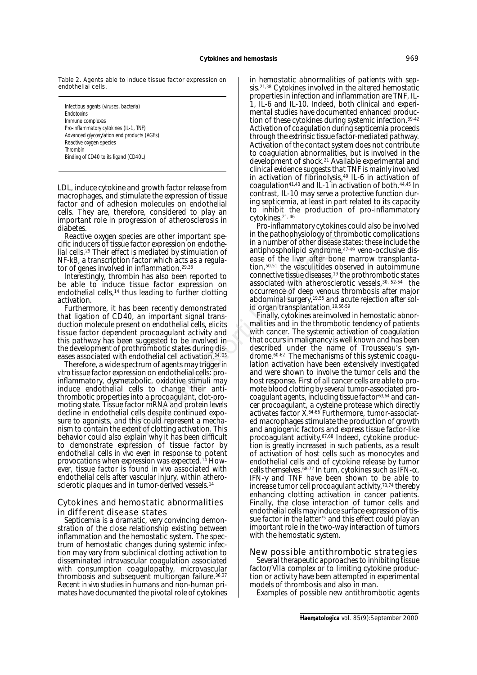Table 2. Agents able to induce tissue factor expression on endothelial cells.

Infectious agents (viruses, bacteria) **Endotoxins** Immune complexes Pro-inflammatory cytokines (IL-1, TNF) Advanced glycosylation end products (AGEs) Reactive oxygen species Thrombin Binding of CD40 to its ligand (CD40L)

LDL, induce cytokine and growth factor release from macrophages, and stimulate the expression of tissue factor and of adhesion molecules on endothelial cells. They are, therefore, considered to play an important role in progression of atherosclerosis in diabetes.

Reactive oxygen species are other important specific inducers of tissue factor expression on endothelial cells.29 Their effect is mediated by stimulation of NF-kB, a transcription factor which acts as a regulator of genes involved in inflammation.<sup>29,33</sup>

Interestingly, thrombin has also been reported to be able to induce tissue factor expression on endothelial cells,<sup>14</sup> thus leading to further clotting activation.

Furthermore, it has been recently demonstrated that ligation of CD40, an important signal transduction molecule present on endothelial cells, elicits tissue factor dependent procoagulant activity and this pathway has been suggested to be involved in the development of prothrombotic states during diseases associated with endothelial cell activation.34, 35

Therefore, a wide spectrum of agents may trigger *in vitro* tissue factor expression on endothelial cells: proinflammatory, dysmetabolic, oxidative stimuli may induce endothelial cells to change their antithrombotic properties into a procoagulant, clot-promoting state. Tissue factor mRNA and protein levels decline in endothelial cells despite continued exposure to agonists, and this could represent a mechanism to contain the extent of clotting activation. This behavior could also explain why it has been difficult to demonstrate expression of tissue factor by endothelial cells *in vivo* even in response to potent provocations when expression was expected.14 However, tissue factor is found *in vivo* associated with endothelial cells after vascular injury, within atherosclerotic plaques and in tumor-derived vessels.<sup>14</sup>

# Cytokines and hemostatic abnormalities in different disease states

Septicemia is a dramatic, very convincing demonstration of the close relationship existing between inflammation and the hemostatic system. The spectrum of hemostatic changes during systemic infection may vary from subclinical clotting activation to disseminated intravascular coagulation associated with consumption coagulopathy, microvascular thrombosis and subsequent multiorgan failure.36,37 Recent *in vivo* studies in humans and non-human primates have documented the pivotal role of cytokines in hemostatic abnormalities of patients with sepsis.<sup>21,38</sup> Cytokines involved in the altered hemostatic properties in infection and inflammation are TNF, IL-1, IL-6 and IL-10. Indeed, both clinical and experimental studies have documented enhanced production of these cytokines during systemic infection.39-42 Activation of coagulation during septicemia proceeds through the extrinsic tissue factor-mediated pathway. Activation of the contact system does not contribute to coagulation abnormalities, but is involved in the development of shock.21 Available experimental and clinical evidence suggests that TNF is mainly involved in activation of fibrinolysis,40 IL-6 in activation of coagulation41,43 and IL-1 in activation of both.44,45 In contrast, IL-10 may serve a protective function during septicemia, at least in part related to its capacity to inhibit the production of pro-inflammatory cytokines.21, 46

Pro-inflammatory cytokines could also be involved in the pathophysiology of thrombotic complications in a number of other disease states: these include the antiphospholipid syndrome,47-49 veno-occlusive disease of the liver after bone marrow transplantation,50,51 the vasculitides observed in autoimmune connective tissue diseases,<sup>19</sup> the prothrombotic states associated with atherosclerotic vessels,30, 52-54 the occurrence of deep venous thrombosis after major abdominal surgery,19,55 and acute rejection after solid organ transplantation.<sup>19,56-59</sup>

Finally, cytokines are involved in hemostatic abnormalities and in the thrombotic tendency of patients with cancer. The systemic activation of coagulation that occurs in malignancy is well known and has been described under the name of Trousseau's syndrome.60-62 The mechanisms of this systemic coagulation activation have been extensively investigated and were shown to involve the tumor cells and the host response. First of all cancer cells are able to promote blood clotting by several tumor-associated procoagulant agents, including tissue factor63,64 and cancer procoagulant, a cysteine protease which directly activates factor X.64-66 Furthermore, tumor-associated macrophages stimulate the production of growth and angiogenic factors and express tissue factor-like procoagulant activity.67,68 Indeed, cytokine production is greatly increased in such patients, as a result of activation of host cells such as monocytes and endothelial cells and of cytokine release by tumor cells themselves.68-72 In turn, cytokines such as IFN-α, IFN-γ and TNF have been shown to be able to increase tumor cell procoagulant activity,73,74 thereby enhancing clotting activation in cancer patients. Finally, the close interaction of tumor cells and endothelial cells may induce surface expression of tissue factor in the latter<sup>75</sup> and this effect could play an important role in the two-way interaction of tumors with the hemostatic system. species are other important species<br>
in the pathophysiology of throm<br>
ue factor expression on endothe<br>
in a number of other disease sta<br>
ect is mediated by stimulation of<br>
in a number of other disease sta<br>
d in inflammati

# New possible antithrombotic strategies

Several therapeutic approaches to inhibiting tissue factor/VIIa complex or to limiting cytokine production or activity have been attempted in experimental models of thrombosis and also in man.

Examples of possible new antithrombotic agents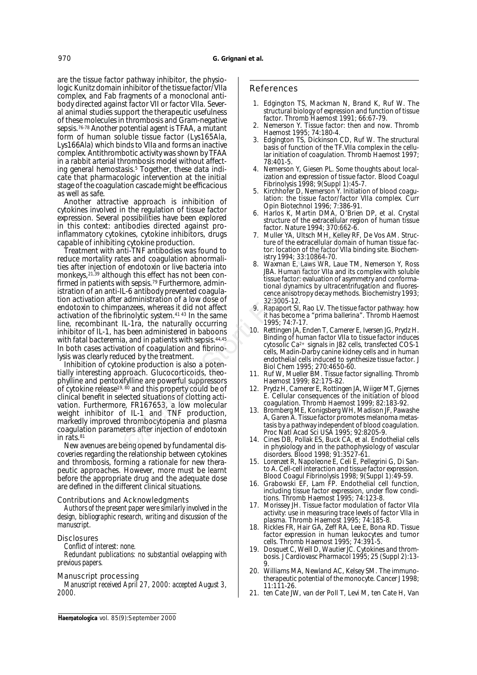are the tissue factor pathway inhibitor, the physiologic Kunitz domain inhibitor of the tissue factor/VIIa complex, and Fab fragments of a monoclonal antibody directed against factor VII or factor VIIa. Several animal studies support the therapeutic usefulness of these molecules in thrombosis and Gram-negative sepsis.76-78 Another potential agent is TFAA, a mutant form of human soluble tissue factor (Lys165Ala, Lys166Ala) which binds to VIIa and forms an inactive complex. Antithrombotic activity was shown by TFAA in a rabbit arterial thrombosis model without affecting general hemostasis.<sup>5</sup> Together, these data indicate that pharmacologic intervention at the initial stage of the coagulation cascade might be efficacious as well as safe.

Another attractive approach is inhibition of cytokines involved in the regulation of tissue factor expression. Several possibilities have been explored in this context: antibodies directed against proinflammatory cytokines, cytokine inhibitors, drugs capable of inhibiting cytokine production.

Treatment with anti-TNF antibodies was found to reduce mortality rates and coagulation abnormalities after injection of endotoxin or live bacteria into monkeys,21,39 although this effect has not been confirmed in patients with sepsis.79 Furthermore, administration of an anti-IL-6 antibody prevented coagulation activation after administration of a low dose of endotoxin to chimpanzees, whereas it did not affect activation of the fibrinolytic system.41 43 In the same line, recombinant IL-1ra, the naturally occurring inhibitor of IL-1, has been administered in baboons with fatal bacteremia, and in patients with sepsis.<sup>44,45</sup> In both cases activation of coagulation and fibrinolysis was clearly reduced by the treatment. ntibolates directed against pro-<br>
internet and against pro-<br>
internet and to the strate and to the strate and consider the beat the extracellular domain<br>
the of the extracellular domain<br>
the of the extracellular domain<br>
th

Inhibition of cytokine production is also a potentially interesting approach. Glucocorticoids, theophylline and pentoxifylline are powerful suppressors of cytokine release<sup>19, 80</sup> and this property could be of clinical benefit in selected situations of clotting activation. Furthermore, FR167653, a low molecular weight inhibitor of IL-1 and TNF production, markedly improved thrombocytopenia and plasma coagulation parameters after injection of endotoxin in rats.<sup>81</sup>

New avenues are being opened by fundamental discoveries regarding the relationship between cytokines and thrombosis, forming a rationale for new therapeutic approaches. However, more must be learnt before the appropriate drug and the adequate dose are defined in the different clinical situations.

### *Contributions and Acknowledgments*

*Authors of the present paper were similarly involved in the design, bibliographic research, writing and discussion of the manuscript.*

### *Disclosures*

*Conflict of interest: none.*

*Redundant publications: no substantial ovelapping with previous papers.*

### *Manuscript processing*

*Manuscript received April 27, 2000: accepted August 3, 2000.*

### References

- 1. Edgington TS, Mackman N, Brand K, Ruf W. The structural biology of expression and function of tissue factor. Thromb Haemost 1991; 66:67-79.
- Nemerson Y. Tissue factor: then and now. Thromb Haemost 1995; 74:180-4.
- 3. Edgington TS, Dickinson CD, Ruf W. The structural basis of function of the TF.VIIa complex in the cellular initiation of coagulation. Thromb Haemost 1997; 78:401-5.
- 4. Nemerson Y, Giesen PL. Some thoughts about localization and expression of tissue factor. Blood Coagul Fibrinolysis 1998; 9(Suppl 1):45-7.
- 5. Kirchhofer D, Nemerson Y. Initiation of blood coagulation: the tissue factor/factor VIIa complex. Curr Opin Biotechnol 1996; 7:386-91.
- 6. Harlos K, Martin DMA, O'Brien DP, et al. Crystal structure of the extracellular region of human tissue factor. Nature 1994; 370:662-6.
- 7. Muller YA, Ultsch MH, Kelley RF, De Vos AM. Structure of the extracellular domain of human tissue factor: location of the factor VIIa binding site. Biochemistry 1994; 33:10864-70.
- Waxman E, Laws WR, Laue TM, Nemerson Y, Ross JBA. Human factor VIIa and its complex with soluble tissue factor: evaluation of asymmetry and conformational dynamics by ultracentrifugation and fluorescence anisotropy decay methods. Biochemistry 1993; 32:3005-12.
- 9. Rapaport SI, Rao LV. The tissue factor pathway: how it has become a "prima ballerina". Thromb Haemost 1995; 74:7-17.
- 10. Rettingen JA, Enden T, Camerer E, Iversen JG, Prydz H. Binding of human factor VIIa to tissue factor induces cytosolic Ca2+ signals in J82 cells, transfected COS-1 cells, Madin-Darby canine kidney cells and in human endothelial cells induced to synthesize tissue factor. J Biol Chem 1995; 270:4650-60.
- 11. Ruf W, Mueller BM. Tissue factor signalling. Thromb Haemost 1999; 82:175-82.
- 12. Prydz H, Camerer E, Rottingen JA, Wiiger MT, Gjernes E. Cellular consequences of the initiation of blood coagulation. Thromb Haemost 1999; 82:183-92.
- 13. Bromberg ME, Konigsberg WH, Madison JF, Pawashe A, Garen A. Tissue factor promotes melanoma metastasis by a pathway independent of blood coagulation. Proc Natl Acad Sci USA 1995; 92:8205-9.
- 14. Cines DB, Pollak ES, Buck CA, et al. Endothelial cells in physiology and in the pathophysiology of vascular disorders. Blood 1998; 91:3527-61.
- 15. Lorenzet R, Napoleone E, Celi E, Pellegrini G, Di Santo A. Cell-cell interaction and tissue factor expression. Blood Coagul Fibrinolysis 1998; 9(Suppl 1):49-59.
- Grabowski EF, Lam FP. Endothelial cell function, including tissue factor expression, under flow conditions. Thromb Haemost 1995; 74:123-8.
- 17. Morissey JH. Tissue factor modulation of factor VIIa activity: use in measuring trace levels of factor VIIa in plasma. Thromb Haemost 1995; 74:185-8.
- 18. Rickles FR, Hair GA, Zeff RA, Lee E, Bona RD. Tissue factor expression in human leukocytes and tumor cells. Thromb Haemost 1995; 74:391-5.
- 19. Dosquet C, Weill D, Wautier JC. Cytokines and thrombosis. J Cardiovasc Pharmacol 1995; 25 (Suppl 2):13- 9.
- 20. Williams MA, Newland AC, Kelsey SM. The immunotherapeutic potential of the monocyte. Cancer J 1998; 11:111-26.
- 21. ten Cate JW, van der Poll T, Levi M, ten Cate H, Van

Haematologica vol. 85(9):September 2000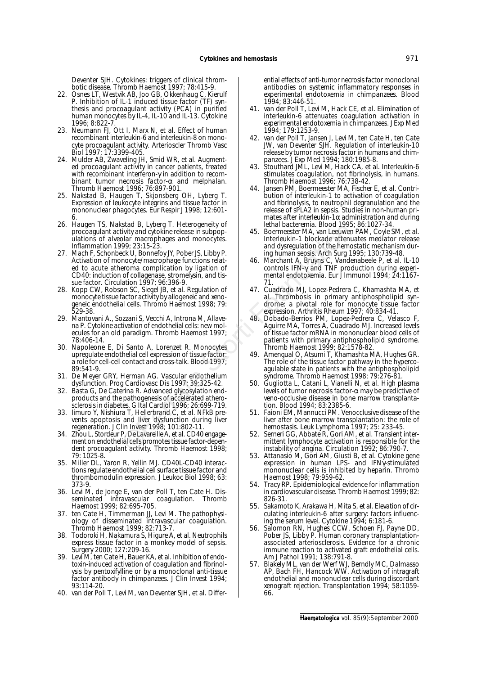Deventer SJH. Cytokines: triggers of clinical thrombotic disease. Thromb Haemost 1997; 78:415-9.

- 22. Osnes LT, Westvik AB, Joo GB, Okkenhaug C, Kierulf P. Inhibition of IL-1 induced tissue factor (TF) synthesis and procoagulant activity (PCA) in purified human monocytes by IL-4, IL-10 and IL-13. Cytokine 1996; 8:822-7.
- 23. Neumann FJ, Ott I, Marx N, et al. Effect of human recombinant interleukin-6 and interleukin-8 on monocyte procoagulant activity. Arterioscler Thromb Vasc Biol 1997; 17:3399-405.
- 24. Mulder AB, Zwaveling JH, Smid WR, et al. Augmented procoagulant activity in cancer patients, treated with recombinant interferon-γ in addition to recombinant tumor necrosis factor- $\alpha$  and melphalan. Thromb Haemost 1996; 76:897-901.
- 25. Nakstad B, Haugen T, Skjonsberg OH, Lyberg T. Expression of leukocyte integrins and tissue factor in mononuclear phagocytes. Eur Respir J 1998; 12:601- 6.
- 26. Haugen TS, Nakstad B, Lyberg T. Heterogeneity of procoagulant activity and cytokine release in subpopulations of alveolar macrophages and monocytes. Inflammation 1999; 23:15-23.
- 27. Mach F, Schonbeck U, Bonnefoy JY, Pober JS, Libby P. Activation of monocyte/macrophage functions related to acute atheroma complication by ligation of CD40: induction of collagenase, stromelysin, and tissue factor. Circulation 1997; 96:396-9. State is, the every in the terror endeapth and both and the state of the storting and proposition of the state attention of the state attention of the seck U, Bonnefoy IV, Pober IS, Libby P.<br>
and dysregulation of the hemes
- 28. Kopp CW, Robson SC, Siegel JB, et al. Regulation of monocyte tissue factor activity by allogeneic and xenogeneic endothelial cells. Thromb Haemost 1998; 79: 529-38.
- 29. Mantovani A., Sozzani S, Vecchi A, Introna M, Allavena P. Cytokine activation of endothelial cells: new molecules for an old paradigm. Thromb Haemost 1997; 78:406-14.
- 30. Napoleone E, Di Santo A, Lorenzet R. Monocytes upregulate endothelial cell expression of tissue factor: a role for cell-cell contact and cross-talk. Blood 1997; 89:541-9.
- 31. De Meyer GRY, Herman AG. Vascular endothelium dysfunction. Prog Cardiovasc Dis 1997; 39:325-42.
- 32. Basta G, De Caterina R. Advanced glycosylation endproducts and the pathogenesis of accelerated atherosclerosis in diabetes. G Ital Cardiol 1996; 26:699-719.
- 33. Iimuro Y, Nishiura T, Hellerbrand C, et al. NFkB prevents apoptosis and liver dysfunction during liver regeneration. J Clin Invest 1998; 101:802-11.
- 34. Zhou L, Stordeur P, De Lavareille A, et al. CD40 engagement on endothelial cells promotes tissue factor-dependent procoagulant activity. Thromb Haemost 1998; 79: 1025-8.
- 35. Miller DL, Yaron R, Yellin MJ. CD40L-CD40 interactions regulate endothelial cell surface tissue factor and thrombomodulin expression. J Leukoc Biol 1998; 63: 373-9.
- 36. Levi M, de Jonge E, van der Poll T, ten Cate H. Disseminated intravascular coagulation. Thromb Haemost 1999; 82:695-705.
- 37. ten Cate H, Timmerman JJ, Levi M. The pathophysiology of disseminated intravascular coagulation. Thromb Haemost 1999; 82:713-7.
- 38. Todoroki H, Nakamura S, Higure A, et al. Neutrophils express tissue factor in a monkey model of sepsis. Surgery 2000; 127:209-16.
- 39. Levi M, ten Cate H, Bauer KA, et al. Inhibition of endotoxin-induced activation of coagulation and fibrinolysis by pentoxifylline or by a monoclonal anti-tissue factor antibody in chimpanzees. J Clin Invest 1994; 93:114-20.
- 40. van der Poll T, Levi M, van Deventer SJH, et al. Differ-

ential effects of anti-tumor necrosis factor monoclonal antibodies on systemic inflammatory responses in experimental endotoxemia in chimpanzees. Blood 1994; 83:446-51.

- 41. van der Poll T, Levi M, Hack CE, et al. Elimination of interleukin-6 attenuates coagulation activation in experimental endotoxemia in chimpanzees. J Exp Med 1994; 179:1253-9.
- 42. van der Poll T, Jansen J, Levi M, ten Cate H, ten Cate JW, van Deventer SJH. Regulation of interleukin-10 release by tumor necrosis factor in humans and chimpanzees. J Exp Med 1994; 180:1985-8.
- 43. Stouthard JML, Levi M, Hack CA, et al. Interleukin-6 stimulates coagulation, not fibrinolysis, in humans. Thromb Haemost 1996; 76:738-42.
- Jansen PM, Boermeester MA, Fischer E, et al. Contribution of interleukin-1 to activation of coagulation and fibrinolysis, to neutrophil degranulation and the release of sPLA2 in sepsis. Studies in non-human primates after interleukin-1 $\alpha$  administration and during lethal bacteremia. Blood 1995; 86:1027-34.
- 45. Boermeester MA, van Leeuwen PAM, Coyle SM, et al. Interleukin-1 blockade attenuates mediator release and dysregulation of the hemostatic mechanism during human sepsis. Arch Surg 1995; 130:739-48.
- 46. Marchant A, Bruyns C, Vandenabeele P, et al. IL-10 controls IFN-γ and TNF production during experimental endotoxemia. Eur J Immunol 1994; 24:1167- 71.
- 47. Cuadrado MJ, Lopez-Pedrera C, Khamashta MA, et al. Thrombosis in primary antiphospholipid syndrome: a pivotal role for monocyte tissue factor expression. Arthritis Rheum 1997; 40:834-41.
- 48. Dobado-Berrios PM, Lopez-Pedrera C, Velasco F, Aguirre MA, Torres A, Cuadrado MJ. Increased levels of tissue factor mRNA in mononuclear blood cells of patients with primary antiphospholipid syndrome. Thromb Haemost 1999; 82:1578-82.
- 49. Amengual O, Atsumi T, Khamashta MA, Hughes GR. The role of the tissue factor pathway in the hypercoagulable state in patients with the antiphospholipid syndrome. Thromb Haemost 1998; 79:276-81.
- 50. Gugliotta L, Catani L, Vianelli N, et al. High plasma levels of tumor necrosis factor-α may be predictive of veno-occlusive disease in bone marrow transplantation. Blood 1994; 83:2385-6.
- 51. Faioni EM, Mannucci PM. Venocclusive disease of the liver after bone marrow transplantation: the role of hemostasis. Leuk Lymphoma 1997; 25: 233-45.
- 52. Serneri GG, Abbate R, Gori AM, et al. Transient intermittent lymphocyte activation is responsible for the instability of angina. Circulation 1992; 86:790-7.
- 53. Attanasio M, Gori AM, Giusti B, et al. Cytokine gene expression in human LPS- and IFNγ-stimulated mononuclear cells is inhibited by heparin. Thromb Haemost 1998; 79:959-62.
- 54. Tracy RP. Epidemiological evidence for inflammation in cardiovascular disease. Thromb Haemost 1999; 82: 826-31.
- 55. Sakamoto K, Arakawa H, Mita S, et al. Elevation of circulating interleukin-6 after surgery: factors influencing the serum level. Cytokine 1994; 6:181-6.
- 56. Salomon RN, Hughes CCW, Schoen FJ, Payne DD, Pober JS, Libby P. Human coronary transplantationassociated arteriosclerosis. Evidence for a chronic immune reaction to activated graft endothelial cells. Am J Pathol 1991; 138:791-8.
- 57. Blakely ML, van der Werf WJ, Berndly MC, Dalmasso AP, Bach FH, Hancock WW. Activation of intragraft endothelial and mononuclear cells during discordant xenograft rejection. Transplantation 1994; 58:1059- 66.